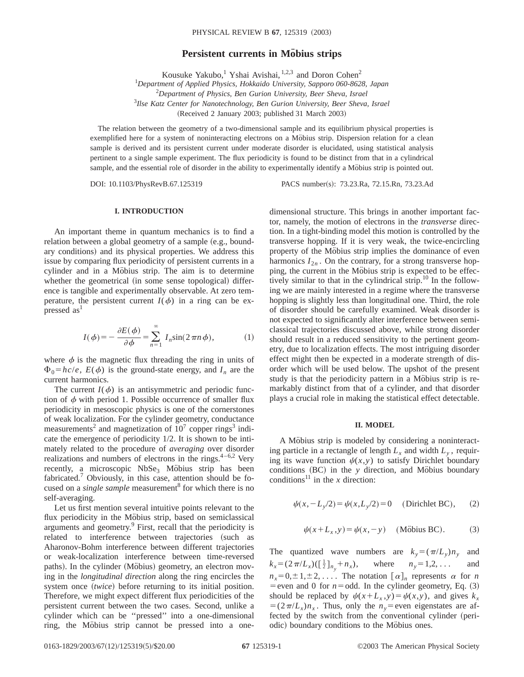## **Persistent currents in Möbius strips**

Kousuke Yakubo,<sup>1</sup> Yshai Avishai,  $1,2,3$  and Doron Cohen<sup>2</sup>

 *Department of Applied Physics, Hokkaido University, Sapporo 060-8628, Japan Department of Physics, Ben Gurion University, Beer Sheva, Israel Ilse Katz Center for Nanotechnology, Ben Gurion University, Beer Sheva, Israel* (Received 2 January 2003; published 31 March 2003)

The relation between the geometry of a two-dimensional sample and its equilibrium physical properties is exemplified here for a system of noninteracting electrons on a Möbius strip. Dispersion relation for a clean sample is derived and its persistent current under moderate disorder is elucidated, using statistical analysis pertinent to a single sample experiment. The flux periodicity is found to be distinct from that in a cylindrical sample, and the essential role of disorder in the ability to experimentally identify a Möbius strip is pointed out.

DOI: 10.1103/PhysRevB.67.125319 PACS number(s): 73.23.Ra, 72.15.Rn, 73.23.Ad

# **I. INTRODUCTION**

An important theme in quantum mechanics is to find a relation between a global geometry of a sample (e.g., boundary conditions) and its physical properties. We address this issue by comparing flux periodicity of persistent currents in a cylinder and in a Möbius strip. The aim is to determine whether the geometrical (in some sense topological) difference is tangible and experimentally observable. At zero temperature, the persistent current  $I(\phi)$  in a ring can be expressed as<sup>1</sup>

$$
I(\phi) = -\frac{\partial E(\phi)}{\partial \phi} = \sum_{n=1}^{\infty} I_n \sin(2\pi n \phi), \quad (1)
$$

where  $\phi$  is the magnetic flux threading the ring in units of  $\Phi_0 = hc/e$ ,  $E(\phi)$  is the ground-state energy, and  $I_n$  are the current harmonics.

The current  $I(\phi)$  is an antisymmetric and periodic function of  $\phi$  with period 1. Possible occurrence of smaller flux periodicity in mesoscopic physics is one of the cornerstones of weak localization. For the cylinder geometry, conductance measurements<sup>2</sup> and magnetization of  $10<sup>7</sup>$  copper rings<sup>3</sup> indicate the emergence of periodicity 1/2. It is shown to be intimately related to the procedure of *averaging* over disorder realizations and numbers of electrons in the rings. $4-6.2$  Very recently, a microscopic  $NbSe<sub>3</sub>$  Möbius strip has been fabricated.<sup>7</sup> Obviously, in this case, attention should be focused on a *single sample* measurement<sup>8</sup> for which there is no self-averaging.

Let us first mention several intuitive points relevant to the flux periodicity in the Möbius strip, based on semiclassical arguments and geometry.9 First, recall that the periodicity is related to interference between trajectories (such as Aharonov-Bohm interference between different trajectories or weak-localization interference between time-reversed paths). In the cylinder (Möbius) geometry, an electron moving in the *longitudinal direction* along the ring encircles the system once (*twice*) before returning to its initial position. Therefore, we might expect different flux periodicities of the persistent current between the two cases. Second, unlike a cylinder which can be ''pressed'' into a one-dimensional ring, the Möbius strip cannot be pressed into a onedimensional structure. This brings in another important factor, namely, the motion of electrons in the *transverse* direction. In a tight-binding model this motion is controlled by the transverse hopping. If it is very weak, the twice-encircling property of the Möbius strip implies the dominance of even harmonics  $I_{2n}$ . On the contrary, for a strong transverse hopping, the current in the Möbius strip is expected to be effectively similar to that in the cylindrical strip. $^{10}$  In the following we are mainly interested in a regime where the transverse hopping is slightly less than longitudinal one. Third, the role of disorder should be carefully examined. Weak disorder is not expected to significantly alter interference between semiclassical trajectories discussed above, while strong disorder should result in a reduced sensitivity to the pertinent geometry, due to localization effects. The most intriguing disorder effect might then be expected in a moderate strength of disorder which will be used below. The upshot of the present study is that the periodicity pattern in a Möbius strip is remarkably distinct from that of a cylinder, and that disorder plays a crucial role in making the statistical effect detectable.

### **II. MODEL**

A Möbius strip is modeled by considering a noninteracting particle in a rectangle of length  $L_x$  and width  $L_y$ , requiring its wave function  $\psi(x, y)$  to satisfy Dirichlet boundary conditions (BC) in the *y* direction, and Möbius boundary conditions<sup>11</sup> in the *x* direction:

$$
\psi(x, -L_y/2) = \psi(x, L_y/2) = 0
$$
 (Dirichlet BC), (2)

$$
\psi(x+L_x, y) = \psi(x, -y) \quad \text{(Möbius BC)}.
$$
 (3)

The quantized wave numbers are  $k_y = (\pi/L_y)n_y$  and  $k_x = (2 \pi / L_x) (\frac{1}{2} l_{n_y})$ where  $n_y=1,2,...$  and  $n_x=0,\pm 1,\pm 2,\ldots$ . The notation  $[\alpha]_n$  represents  $\alpha$  for *n* = even and 0 for  $n =$  odd. In the cylinder geometry, Eq.  $(3)$ should be replaced by  $\psi(x+L_x, y) = \psi(x, y)$ , and gives  $k_x$  $= (2\pi/L_x)n_x$ . Thus, only the  $n_y$ = even eigenstates are affected by the switch from the conventional cylinder (periodic) boundary conditions to the Möbius ones.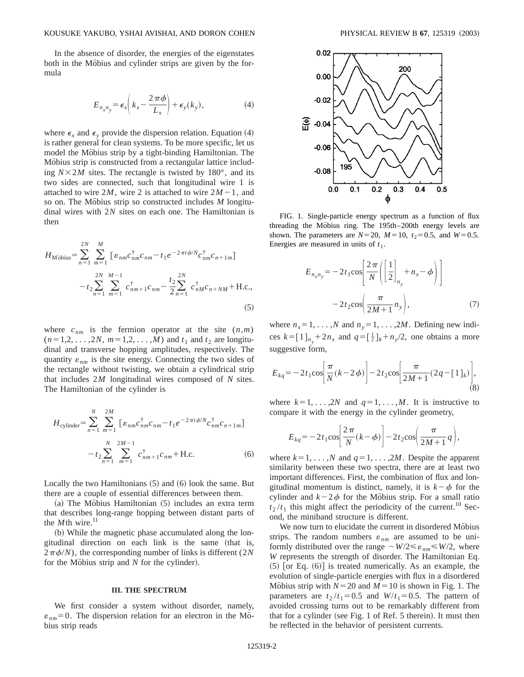In the absence of disorder, the energies of the eigenstates both in the Möbius and cylinder strips are given by the formula

$$
E_{n_x n_y} = \epsilon_x \left( k_x - \frac{2\,\pi\,\phi}{L_x} \right) + \epsilon_y(k_y), \tag{4}
$$

where  $\epsilon_x$  and  $\epsilon_y$  provide the dispersion relation. Equation (4) is rather general for clean systems. To be more specific, let us model the Mobius strip by a tight-binding Hamiltonian. The Mobius strip is constructed from a rectangular lattice including  $N \times 2M$  sites. The rectangle is twisted by 180 $^{\circ}$ , and its two sides are connected, such that longitudinal wire 1 is attached to wire 2*M*, wire 2 is attached to wire  $2M-1$ , and so on. The Möbius strip so constructed includes *M* longitudinal wires with 2*N* sites on each one. The Hamiltonian is then

$$
H_{\text{M'obius}} = \sum_{n=1}^{2N} \sum_{m=1}^{M} \left[ \varepsilon_{nm} c_{nm}^{\dagger} c_{nm} - t_1 e^{-2\pi i \phi/N} c_{nm}^{\dagger} c_{n+1m} \right]
$$

$$
- t_2 \sum_{n=1}^{2N} \sum_{m=1}^{M-1} c_{nm+1}^{\dagger} c_{nm} - \frac{t_2}{2} \sum_{n=1}^{2N} c_{nm}^{\dagger} c_{n+NM} + \text{H.c.}, \tag{5}
$$

where  $c_{nm}$  is the fermion operator at the site  $(n,m)$  $(n=1,2,\ldots,2N, m=1,2,\ldots,M)$  and  $t_1$  and  $t_2$  are longitudinal and transverse hopping amplitudes, respectively. The quantity  $\varepsilon_{nm}$  is the site energy. Connecting the two sides of the rectangle without twisting, we obtain a cylindrical strip that includes 2*M* longitudinal wires composed of *N* sites. The Hamiltonian of the cylinder is

$$
H_{\text{cylinder}} = \sum_{n=1}^{N} \sum_{m=1}^{2M} \left[ \varepsilon_{nm} c_{nm}^{\dagger} c_{nm} - t_1 e^{-2\pi i \phi/N} c_{nm}^{\dagger} c_{n+1m} \right]
$$

$$
- t_2 \sum_{n=1}^{N} \sum_{m=1}^{2M-1} c_{nm+1}^{\dagger} c_{nm} + \text{H.c.}
$$
(6)

Locally the two Hamiltonians  $(5)$  and  $(6)$  look the same. But there are a couple of essential differences between them.

 $(a)$  The Möbius Hamiltonian  $(5)$  includes an extra term that describes long-range hopping between distant parts of the  $M$ th wire.<sup>11</sup>

(b) While the magnetic phase accumulated along the longitudinal direction on each link is the same (that is,  $2\pi\phi/N$ , the corresponding number of links is different (2*N*) for the Möbius strip and  $N$  for the cylinder).

#### **III. THE SPECTRUM**

We first consider a system without disorder, namely,  $\varepsilon_{nm}$ =0. The dispersion relation for an electron in the Möbius strip reads



FIG. 1. Single-particle energy spectrum as a function of flux threading the Möbius ring. The 195th–200th energy levels are shown. The parameters are  $N=20$ ,  $M=10$ ,  $t_2=0.5$ , and  $W=0.5$ . Energies are measured in units of  $t_1$ .

$$
E_{n_x n_y} = -2t_1 \cos\left(\frac{2\pi}{N} \left( \left[\frac{1}{2}\right]_{n_y} + n_x - \phi \right) \right)
$$

$$
-2t_2 \cos\left(\frac{\pi}{2M+1} n_y \right), \tag{7}
$$

where  $n_x = 1, \ldots, N$  and  $n_y = 1, \ldots, 2M$ . Defining new indices  $k = [1]_{n_y} + 2n_x$  and  $q = [\frac{1}{2}]_k + n_y/2$ , one obtains a more suggestive form.

$$
E_{kq} = -2t_1 \cos \left[ \frac{\pi}{N} (k - 2\phi) \right] - 2t_2 \cos \left[ \frac{\pi}{2M + 1} (2q - [1]_k) \right],
$$
\n(8)

where  $k=1, \ldots, 2N$  and  $q=1, \ldots, M$ . It is instructive to compare it with the energy in the cylinder geometry,

$$
E_{kq} = -2t_1 \cos \left[ \frac{2\pi}{N} (k - \phi) \right] - 2t_2 \cos \left( \frac{\pi}{2M + 1} q \right),
$$

where  $k=1, \ldots, N$  and  $q=1, \ldots, 2M$ . Despite the apparent similarity between these two spectra, there are at least two important differences. First, the combination of flux and longitudinal momentum is distinct, namely, it is  $k-\phi$  for the cylinder and  $k-2\phi$  for the Möbius strip. For a small ratio  $t_2/t_1$  this might affect the periodicity of the current.<sup>10</sup> Second, the miniband structure is different.

We now turn to elucidate the current in disordered Möbius strips. The random numbers  $\varepsilon_{nm}$  are assumed to be uniformly distributed over the range  $-W/2 \le \varepsilon_{nm} \le W/2$ , where *W* represents the strength of disorder. The Hamiltonian Eq.  $(5)$  [or Eq.  $(6)$ ] is treated numerically. As an example, the evolution of single-particle energies with flux in a disordered Möbius strip with  $N=20$  and  $M=10$  is shown in Fig. 1. The parameters are  $t_2/t_1=0.5$  and  $W/t_1=0.5$ . The pattern of avoided crossing turns out to be remarkably different from that for a cylinder (see Fig. 1 of Ref. 5 therein). It must then be reflected in the behavior of persistent currents.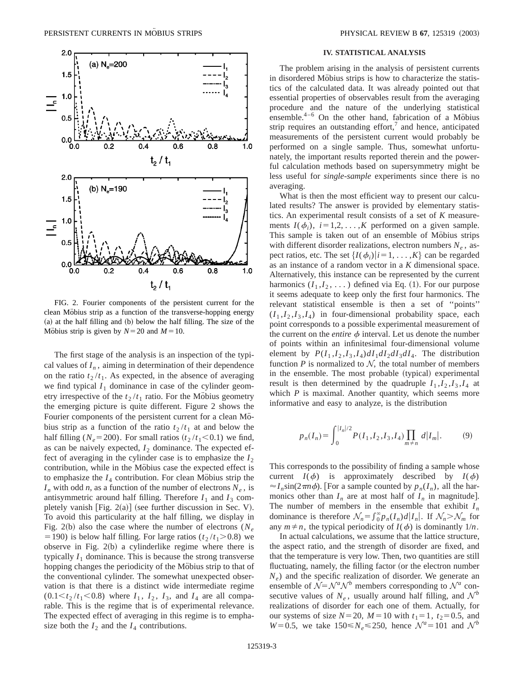

FIG. 2. Fourier components of the persistent current for the clean Möbius strip as a function of the transverse-hopping energy  $(a)$  at the half filling and  $(b)$  below the half filling. The size of the Möbius strip is given by  $N=20$  and  $M=10$ .

The first stage of the analysis is an inspection of the typical values of  $I_n$ , aiming in determination of their dependence on the ratio  $t_2 / t_1$ . As expected, in the absence of averaging we find typical  $I_1$  dominance in case of the cylinder geometry irrespective of the  $t_2 / t_1$  ratio. For the Möbius geometry the emerging picture is quite different. Figure 2 shows the Fourier components of the persistent current for a clean Mobius strip as a function of the ratio  $t_2 / t_1$  at and below the half filling ( $N_e$ =200). For small ratios ( $t_2 / t_1$ <0.1) we find, as can be naively expected,  $I_2$  dominance. The expected effect of averaging in the cylinder case is to emphasize the  $I_2$ contribution, while in the Möbius case the expected effect is to emphasize the  $I_4$  contribution. For clean Möbius strip the  $I_n$  with odd *n*, as a function of the number of electrons  $N_e$ , is antisymmetric around half filling. Therefore  $I_1$  and  $I_3$  completely vanish  $[Fig. 2(a)]$  (see further discussion in Sec. V). To avoid this particularity at the half filling, we display in Fig. 2(b) also the case where the number of electrons  $(N_e)$ = 190) is below half filling. For large ratios ( $t_2 / t_1$ >0.8) we observe in Fig.  $2(b)$  a cylinderlike regime where there is typically  $I_1$  dominance. This is because the strong transverse hopping changes the periodicity of the Mobius strip to that of the conventional cylinder. The somewhat unexpected observation is that there is a distinct wide intermediate regime  $(0.1 \le t_2 / t_1 \le 0.8)$  where  $I_1$ ,  $I_2$ ,  $I_3$ , and  $I_4$  are all comparable. This is the regime that is of experimental relevance. The expected effect of averaging in this regime is to emphasize both the  $I_2$  and the  $I_4$  contributions.

## **IV. STATISTICAL ANALYSIS**

The problem arising in the analysis of persistent currents in disordered Möbius strips is how to characterize the statistics of the calculated data. It was already pointed out that essential properties of observables result from the averaging procedure and the nature of the underlying statistical ensemble. $4-6$  On the other hand, fabrication of a Möbius strip requires an outstanding effort, $\alpha$  and hence, anticipated measurements of the persistent current would probably be performed on a single sample. Thus, somewhat unfortunately, the important results reported therein and the powerful calculation methods based on supersymmetry might be less useful for *single-sample* experiments since there is no averaging.

What is then the most efficient way to present our calculated results? The answer is provided by elementary statistics. An experimental result consists of a set of *K* measurements  $I(\phi_i)$ ,  $i=1,2,\ldots,K$  performed on a given sample. This sample is taken out of an ensemble of Möbius strips with different disorder realizations, electron numbers  $N_e$ , aspect ratios, etc. The set  $\{I(\phi_i)|i=1,\ldots,K\}$  can be regarded as an instance of a random vector in a *K* dimensional space. Alternatively, this instance can be represented by the current harmonics  $(I_1, I_2, \ldots)$  defined via Eq. (1). For our purpose it seems adequate to keep only the first four harmonics. The relevant statistical ensemble is then a set of ''points''  $(I_1, I_2, I_3, I_4)$  in four-dimensional probability space, each point corresponds to a possible experimental measurement of the current on the *entire*  $\phi$  interval. Let us denote the number of points within an infinitesimal four-dimensional volume element by  $P(I_1, I_2, I_3, I_4) dI_1 dI_2 dI_3 dI_4$ . The distribution function  $P$  is normalized to  $N$ , the total number of members in the ensemble. The most probable (typical) experimental result is then determined by the quadruple  $I_1$ ,  $I_2$ ,  $I_3$ ,  $I_4$  at which  $P$  is maximal. Another quantity, which seems more informative and easy to analyze, is the distribution

$$
p_n(I_n) = \int_0^{|I_n|/2} P(I_1, I_2, I_3, I_4) \prod_{m \neq n} d|I_m|.
$$
 (9)

This corresponds to the possibility of finding a sample whose current  $I(\phi)$  is approximately described by  $I(\phi)$  $\approx I_n \sin(2\pi n \phi)$ . [For a sample counted by  $p_n(I_n)$ , all the harmonics other than  $I_n$  are at most half of  $I_n$  in magnitude]. The number of members in the ensemble that exhibit  $I_n$ dominance is therefore  $\mathcal{N}_n = \int_0^\infty p_n(I_n) d|I_n|$ . If  $\mathcal{N}_n > \mathcal{N}_m$  for any  $m \neq n$ , the typical periodicity of  $I(\phi)$  is dominantly  $1/n$ .

In actual calculations, we assume that the lattice structure, the aspect ratio, and the strength of disorder are fixed, and that the temperature is very low. Then, two quantities are still fluctuating, namely, the filling factor (or the electron number *N<sub>e</sub>*) and the specific realization of disorder. We generate an ensemble of  $\mathcal{N} = \mathcal{N}^a \mathcal{N}^b$  members corresponding to  $\mathcal{N}^a$  consecutive values of  $N_e$ , usually around half filling, and  $\mathcal{N}^b$ realizations of disorder for each one of them. Actually, for our systems of size  $N=20$ ,  $M=10$  with  $t_1=1$ ,  $t_2=0.5$ , and  $W=0.5$ , we take  $150 \le N_e \le 250$ , hence  $\mathcal{N}^a=101$  and  $\mathcal{N}^b$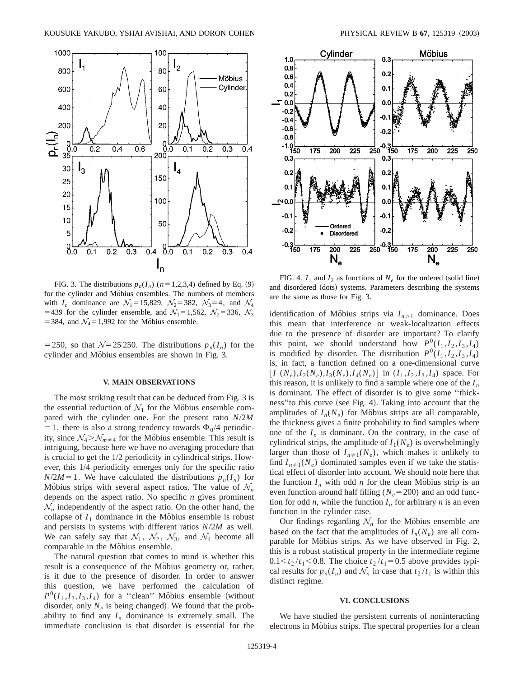

FIG. 3. The distributions  $p_n(I_n)$  ( $n=1,2,3,4$ ) defined by Eq. (9) for the cylinder and Möbius ensembles. The numbers of members with  $I_n$  dominance are  $\mathcal{N}_1 = 15,829$ ,  $\mathcal{N}_2 = 382$ ,  $\mathcal{N}_3 = 4$ , and  $\mathcal{N}_4$ =439 for the cylinder ensemble, and  $\mathcal{N}_1$ =1,562,  $\mathcal{N}_2$ =336,  $\mathcal{N}_3$ = 384, and  $\mathcal{N}_4$ = 1,992 for the Möbius ensemble.

= 250, so that  $\mathcal{N}=25250$ . The distributions  $p_n(I_n)$  for the cylinder and Möbius ensembles are shown in Fig. 3.

### **V. MAIN OBSERVATIONS**

The most striking result that can be deduced from Fig. 3 is the essential reduction of  $\mathcal{N}_1$  for the Möbius ensemble compared with the cylinder one. For the present ratio *N*/2*M* = 1, there is also a strong tendency towards  $\Phi_0/4$  periodicity, since  $\mathcal{N}_4 > \mathcal{N}_{m \neq 4}$  for the Möbius ensemble. This result is intriguing, because here we have no averaging procedure that is crucial to get the 1/2 periodicity in cylindrical strips. However, this 1/4 periodicity emerges only for the specific ratio  $N/2M=1$ . We have calculated the distributions  $p_n(I_n)$  for Möbius strips with several aspect ratios. The value of  $\mathcal{N}_n$ depends on the aspect ratio. No specific *n* gives prominent  $\mathcal{N}_n$  independently of the aspect ratio. On the other hand, the collapse of  $I_1$  dominance in the Möbius ensemble is robust and persists in systems with different ratios *N*/2*M* as well. We can safely say that  $\mathcal{N}_1$ ,  $\mathcal{N}_2$ ,  $\mathcal{N}_3$ , and  $\mathcal{N}_4$  become all comparable in the Möbius ensemble.

The natural question that comes to mind is whether this result is a consequence of the Möbius geometry or, rather, is it due to the presence of disorder. In order to answer this question, we have performed the calculation of  $P^{0}(I_1, I_2, I_3, I_4)$  for a "clean" Möbius ensemble (without disorder, only  $N_e$  is being changed). We found that the probability to find any  $I_n$  dominance is extremely small. The immediate conclusion is that disorder is essential for the



FIG. 4.  $I_1$  and  $I_2$  as functions of  $N_e$  for the ordered (solid line) and disordered (dots) systems. Parameters describing the systems are the same as those for Fig. 3.

identification of Möbius strips via  $I_{n>1}$  dominance. Does this mean that interference or weak-localization effects due to the presence of disorder are important? To clarify this point, we should understand how  $P^0(I_1, I_2, I_3, I_4)$ is modified by disorder. The distribution  $P^0(I_1, I_2, I_3, I_4)$ is, in fact, a function defined on a one-dimensional curve  $[I_1(N_e), I_2(N_e), I_3(N_e), I_4(N_e)]$  in  $(I_1, I_2, I_3, I_4)$  space. For this reason, it is unlikely to find a sample where one of the  $I_n$ is dominant. The effect of disorder is to give some ''thickness" to this curve (see Fig. 4). Taking into account that the amplitudes of  $I_n(N_e)$  for Möbius strips are all comparable, the thickness gives a finite probability to find samples where one of the  $I_n$  is dominant. On the contrary, in the case of cylindrical strips, the amplitude of  $I_1(N_e)$  is overwhelmingly larger than those of  $I_{n\neq 1}(N_e)$ , which makes it unlikely to find  $I_{n\neq 1}(N_e)$  dominated samples even if we take the statistical effect of disorder into account. We should note here that the function  $I_n$  with odd *n* for the clean Möbius strip is an even function around half filling ( $N_e$ =200) and an odd function for odd *n*, while the function  $I_n$  for arbitrary *n* is an even function in the cylinder case.

Our findings regarding  $\mathcal{N}_n$  for the Möbius ensemble are based on the fact that the amplitudes of  $I_n(N_e)$  are all comparable for Möbius strips. As we have observed in Fig. 2, this is a robust statistical property in the intermediate regime  $0.1 \le t_2 / t_1 \le 0.8$ . The choice  $t_2 / t_1 = 0.5$  above provides typical results for  $p_n(I_n)$  and  $\mathcal{N}_n$  in case that  $t_2/t_1$  is within this distinct regime.

#### **VI. CONCLUSIONS**

We have studied the persistent currents of noninteracting electrons in Möbius strips. The spectral properties for a clean